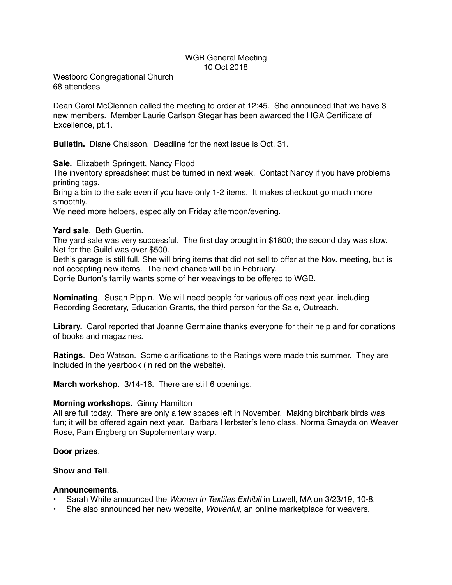# WGB General Meeting 10 Oct 2018

Westboro Congregational Church 68 attendees

Dean Carol McClennen called the meeting to order at 12:45. She announced that we have 3 new members. Member Laurie Carlson Stegar has been awarded the HGA Certificate of Excellence, pt.1.

**Bulletin.** Diane Chaisson. Deadline for the next issue is Oct. 31.

**Sale.** Elizabeth Springett, Nancy Flood

The inventory spreadsheet must be turned in next week. Contact Nancy if you have problems printing tags.

Bring a bin to the sale even if you have only 1-2 items. It makes checkout go much more smoothly.

We need more helpers, especially on Friday afternoon/evening.

## **Yard sale**. Beth Guertin.

The yard sale was very successful. The first day brought in \$1800; the second day was slow. Net for the Guild was over \$500.

Beth's garage is still full. She will bring items that did not sell to offer at the Nov. meeting, but is not accepting new items. The next chance will be in February.

Dorrie Burton's family wants some of her weavings to be offered to WGB.

**Nominating**. Susan Pippin. We will need people for various offices next year, including Recording Secretary, Education Grants, the third person for the Sale, Outreach.

**Library.** Carol reported that Joanne Germaine thanks everyone for their help and for donations of books and magazines.

**Ratings**. Deb Watson. Some clarifications to the Ratings were made this summer. They are included in the yearbook (in red on the website).

**March workshop**. 3/14-16. There are still 6 openings.

#### **Morning workshops.** Ginny Hamilton

All are full today. There are only a few spaces left in November. Making birchbark birds was fun; it will be offered again next year. Barbara Herbster's leno class, Norma Smayda on Weaver Rose, Pam Engberg on Supplementary warp.

#### **Door prizes**.

## **Show and Tell**.

#### **Announcements**.

- Sarah White announced the *Women in Textiles Exhibit* in Lowell, MA on 3/23/19, 10-8.
- She also announced her new website, *Wovenful,* an online marketplace for weavers.